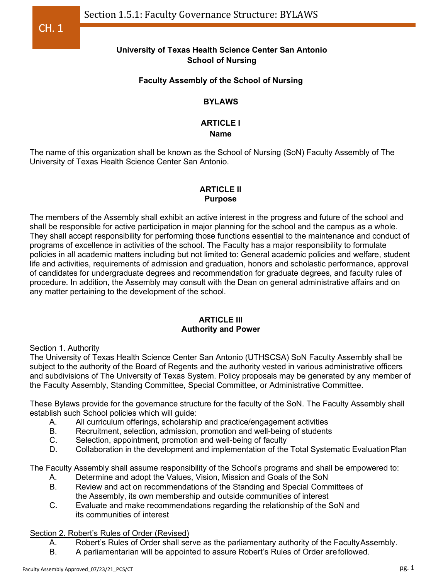# **University of Texas Health Science Center San Antonio School of Nursing**

# **Faculty Assembly of the School of Nursing**

# **BYLAWS**

# **ARTICLE I**

## **Name**

The name of this organization shall be known as the School of Nursing (SoN) Faculty Assembly of The University of Texas Health Science Center San Antonio.

## **ARTICLE II Purpose**

The members of the Assembly shall exhibit an active interest in the progress and future of the school and shall be responsible for active participation in major planning for the school and the campus as a whole. They shall accept responsibility for performing those functions essential to the maintenance and conduct of programs of excellence in activities of the school. The Faculty has a major responsibility to formulate policies in all academic matters including but not limited to: General academic policies and welfare, student life and activities, requirements of admission and graduation, honors and scholastic performance, approval of candidates for undergraduate degrees and recommendation for graduate degrees, and faculty rules of procedure. In addition, the Assembly may consult with the Dean on general administrative affairs and on any matter pertaining to the development of the school.

### **ARTICLE III Authority and Power**

## Section 1. Authority

The University of Texas Health Science Center San Antonio (UTHSCSA) SoN Faculty Assembly shall be subject to the authority of the Board of Regents and the authority vested in various administrative officers and subdivisions of The University of Texas System. Policy proposals may be generated by any member of the Faculty Assembly, Standing Committee, Special Committee, or Administrative Committee.

These Bylaws provide for the governance structure for the faculty of the SoN. The Faculty Assembly shall establish such School policies which will guide:

- A. All curriculum offerings, scholarship and practice/engagement activities
- B. Recruitment, selection, admission, promotion and well-being of students<br>C. Selection, appointment, promotion and well-being of faculty
- Selection, appointment, promotion and well-being of faculty
- D. Collaboration in the development and implementation of the Total Systematic EvaluationPlan

The Faculty Assembly shall assume responsibility of the School's programs and shall be empowered to:

- A. Determine and adopt the Values, Vision, Mission and Goals of the SoN
- B. Review and act on recommendations of the Standing and Special Committees of the Assembly, its own membership and outside communities of interest
- C. Evaluate and make recommendations regarding the relationship of the SoN and its communities of interest

## Section 2. Robert's Rules of Order (Revised)

- A. Robert's Rules of Order shall serve as the parliamentary authority of the Faculty Assembly.
- B. A parliamentarian will be appointed to assure Robert's Rules of Order arefollowed.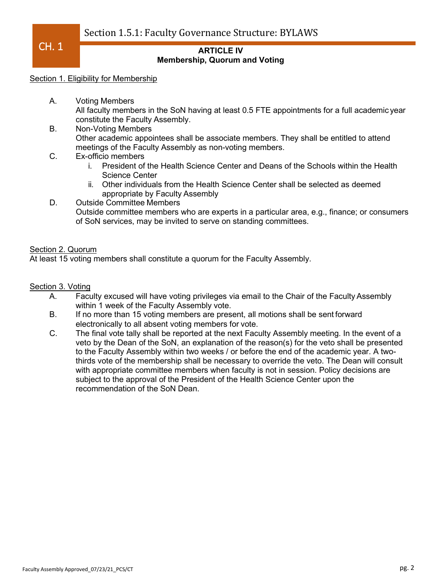Section 1.5.1: Faculty Governance Structure: BYLAWS

 $CH. 1$ 

### **ARTICLE IV Membership, Quorum and Voting**

#### Section 1. Eligibility for Membership

- A. Voting Members All faculty members in the SoN having at least 0.5 FTE appointments for a full academic year constitute the Faculty Assembly.
- B. Non-Voting Members Other academic appointees shall be associate members. They shall be entitled to attend meetings of the Faculty Assembly as non-voting members.
- C. Ex-officio members
	- i. President of the Health Science Center and Deans of the Schools within the Health Science Center
	- ii. Other individuals from the Health Science Center shall be selected as deemed appropriate by Faculty Assembly
- D. Outside Committee Members Outside committee members who are experts in a particular area, e.g., finance; or consumers of SoN services, may be invited to serve on standing committees.

### Section 2. Quorum

At least 15 voting members shall constitute a quorum for the Faculty Assembly.

#### Section 3. Voting

- A. Faculty excused will have voting privileges via email to the Chair of the Faculty Assembly within 1 week of the Faculty Assembly vote.
- B. If no more than 15 voting members are present, all motions shall be sent forward electronically to all absent voting members for vote.
- C. The final vote tally shall be reported at the next Faculty Assembly meeting. In the event of a veto by the Dean of the SoN, an explanation of the reason(s) for the veto shall be presented to the Faculty Assembly within two weeks / or before the end of the academic year. A twothirds vote of the membership shall be necessary to override the veto. The Dean will consult with appropriate committee members when faculty is not in session. Policy decisions are subject to the approval of the President of the Health Science Center upon the recommendation of the SoN Dean.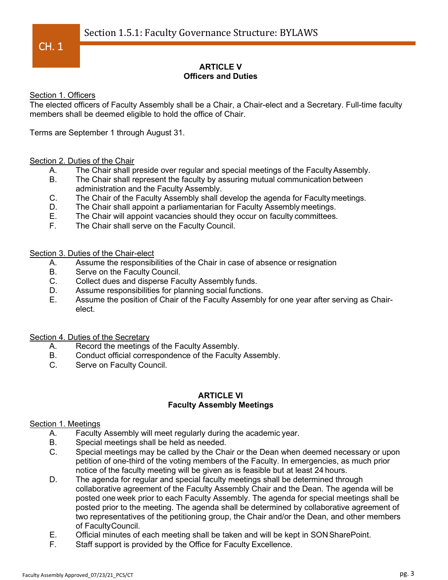## **ARTICLE V Officers and Duties**

Section 1. Officers

The elected officers of Faculty Assembly shall be a Chair, a Chair-elect and a Secretary. Full-time faculty members shall be deemed eligible to hold the office of Chair.

Terms are September 1 through August 31.

#### Section 2. Duties of the Chair

- A. The Chair shall preside over regular and special meetings of the Faculty Assembly.
- B. The Chair shall represent the faculty by assuring mutual communication between administration and the Faculty Assembly.
- C. The Chair of the Faculty Assembly shall develop the agenda for Facultymeetings.
- D. The Chair shall appoint a parliamentarian for Faculty Assembly meetings.<br>E. The Chair will appoint vacancies should they occur on faculty committees.
- The Chair will appoint vacancies should they occur on faculty committees.
- F. The Chair shall serve on the Faculty Council.

Section 3. Duties of the Chair-elect

- A. Assume the responsibilities of the Chair in case of absence or resignation
- B. Serve on the Faculty Council.
- C. Collect dues and disperse Faculty Assembly funds.
- D. Assume responsibilities for planning social functions.
- E. Assume the position of Chair of the Faculty Assembly for one year after serving as Chairelect.

Section 4. Duties of the Secretary

- A. Record the meetings of the Faculty Assembly.<br>B. Conduct official correspondence of the Faculty
- Conduct official correspondence of the Faculty Assembly.
- C. Serve on Faculty Council.

#### **ARTICLE VI Faculty Assembly Meetings**

## Section 1. Meetings

- A. Faculty Assembly will meet regularly during the academic year.
- B. Special meetings shall be held as needed.<br>C. Special meetings may be called by the Cha
- Special meetings may be called by the Chair or the Dean when deemed necessary or upon petition of one-third of the voting members of the Faculty. In emergencies, as much prior notice of the faculty meeting will be given as is feasible but at least 24 hours.
- D. The agenda for regular and special faculty meetings shall be determined through collaborative agreement of the Faculty Assembly Chair and the Dean. The agenda will be posted one week prior to each Faculty Assembly. The agenda for special meetings shall be posted prior to the meeting. The agenda shall be determined by collaborative agreement of two representatives of the petitioning group, the Chair and/or the Dean, and other members of FacultyCouncil.
- E. Official minutes of each meeting shall be taken and will be kept in SONSharePoint.
- F. Staff support is provided by the Office for Faculty Excellence.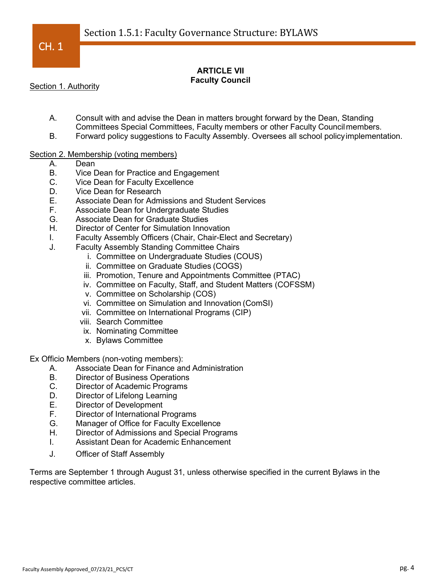## **ARTICLE VII Faculty Council**

Section 1. Authority

- A. Consult with and advise the Dean in matters brought forward by the Dean, Standing Committees Special Committees, Faculty members or other Faculty Councilmembers.
- B. Forward policy suggestions to Faculty Assembly. Oversees all school policyimplementation.

## Section 2. Membership (voting members)

- A. Dean
- B. Vice Dean for Practice and Engagement
- C. Vice Dean for Faculty Excellence
- D. Vice Dean for Research<br>E. Associate Dean for Adm
- Associate Dean for Admissions and Student Services
- F. Associate Dean for Undergraduate Studies
- G. Associate Dean for Graduate Studies
- H. Director of Center for Simulation Innovation
- I. Faculty Assembly Officers (Chair, Chair-Elect and Secretary)
- J. Faculty Assembly Standing Committee Chairs
	- i. Committee on Undergraduate Studies (COUS)
	- ii. Committee on Graduate Studies (COGS)
	- iii. Promotion, Tenure and Appointments Committee (PTAC)
	- iv. Committee on Faculty, Staff, and Student Matters (COFSSM)
	- v. Committee on Scholarship (COS)
	- vi. Committee on Simulation and Innovation (ComSI)
	- vii. Committee on International Programs (CIP)
	- viii. Search Committee
	- ix. Nominating Committee
	- x. Bylaws Committee

Ex Officio Members (non-voting members):

- A. Associate Dean for Finance and Administration
- B. Director of Business Operations<br>C. Director of Academic Programs
- Director of Academic Programs
- D. Director of Lifelong Learning
- E. Director of Development
- F. Director of International Programs
- G. Manager of Office for Faculty Excellence
- H. Director of Admissions and Special Programs
- I. Assistant Dean for Academic Enhancement
- J. Officer of Staff Assembly

Terms are September 1 through August 31, unless otherwise specified in the current Bylaws in the respective committee articles.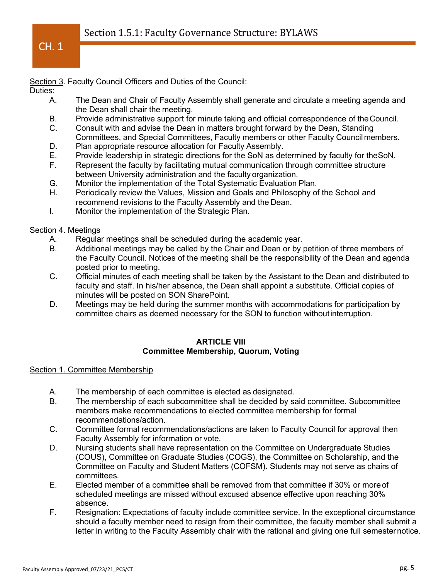Section 3. Faculty Council Officers and Duties of the Council:

Duties:

- A. The Dean and Chair of Faculty Assembly shall generate and circulate a meeting agenda and the Dean shall chair the meeting.
- B. Provide administrative support for minute taking and official correspondence of theCouncil.
- C. Consult with and advise the Dean in matters brought forward by the Dean, Standing Committees, and Special Committees, Faculty members or other Faculty Councilmembers.
- D. Plan appropriate resource allocation for Faculty Assembly.
- E. Provide leadership in strategic directions for the SoN as determined by faculty for theSoN.
- F. Represent the faculty by facilitating mutual communication through committee structure between University administration and the faculty organization.
- G. Monitor the implementation of the Total Systematic Evaluation Plan.
- H. Periodically review the Values, Mission and Goals and Philosophy of the School and recommend revisions to the Faculty Assembly and the Dean.
- I. Monitor the implementation of the Strategic Plan.

Section 4. Meetings

- A. Regular meetings shall be scheduled during the academic year.
- B. Additional meetings may be called by the Chair and Dean or by petition of three members of the Faculty Council. Notices of the meeting shall be the responsibility of the Dean and agenda posted prior to meeting.
- C. Official minutes of each meeting shall be taken by the Assistant to the Dean and distributed to faculty and staff. In his/her absence, the Dean shall appoint a substitute. Official copies of minutes will be posted on SON SharePoint.
- D. Meetings may be held during the summer months with accommodations for participation by committee chairs as deemed necessary for the SON to function withoutinterruption.

#### **ARTICLE VIII Committee Membership, Quorum, Voting**

### Section 1. Committee Membership

- A. The membership of each committee is elected as designated.
- B. The membership of each subcommittee shall be decided by said committee. Subcommittee members make recommendations to elected committee membership for formal recommendations/action.
- C. Committee formal recommendations/actions are taken to Faculty Council for approval then Faculty Assembly for information or vote.
- D. Nursing students shall have representation on the Committee on Undergraduate Studies (COUS), Committee on Graduate Studies (COGS), the Committee on Scholarship, and the Committee on Faculty and Student Matters (COFSM). Students may not serve as chairs of committees.
- E. Elected member of a committee shall be removed from that committee if 30% or more of scheduled meetings are missed without excused absence effective upon reaching 30% absence.
- F. Resignation: Expectations of faculty include committee service. In the exceptional circumstance should a faculty member need to resign from their committee, the faculty member shall submit a letter in writing to the Faculty Assembly chair with the rational and giving one full semesternotice.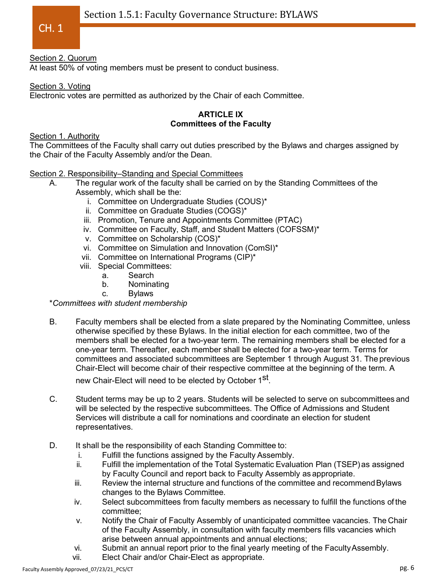# Section 2. Quorum

At least 50% of voting members must be present to conduct business.

## Section 3. Voting

Electronic votes are permitted as authorized by the Chair of each Committee.

#### **ARTICLE IX Committees of the Faculty**

## Section 1. Authority

The Committees of the Faculty shall carry out duties prescribed by the Bylaws and charges assigned by the Chair of the Faculty Assembly and/or the Dean.

### Section 2. Responsibility–Standing and Special Committees

- A. The regular work of the faculty shall be carried on by the Standing Committees of the Assembly, which shall be the:
	- i. Committee on Undergraduate Studies (COUS)\*
	- ii. Committee on Graduate Studies (COGS)\*
	- iii. Promotion, Tenure and Appointments Committee (PTAC)
	- iv. Committee on Faculty, Staff, and Student Matters (COFSSM)\*
	- v. Committee on Scholarship (COS)\*
	- vi. Committee on Simulation and Innovation (ComSI)\*
	- vii. Committee on International Programs (CIP)\*
	- viii. Special Committees:
		- a. Search
		- b. Nominating
		- c. Bylaws

### \**Committees with student membership*

B. Faculty members shall be elected from a slate prepared by the Nominating Committee, unless otherwise specified by these Bylaws. In the initial election for each committee, two of the members shall be elected for a two-year term. The remaining members shall be elected for a one-year term. Thereafter, each member shall be elected for a two-year term. Terms for committees and associated subcommittees are September 1 through August 31. The previous Chair-Elect will become chair of their respective committee at the beginning of the term. A

new Chair-Elect will need to be elected by October 1<sup>st</sup>.

- C. Student terms may be up to 2 years. Students will be selected to serve on subcommittees and will be selected by the respective subcommittees. The Office of Admissions and Student Services will distribute a call for nominations and coordinate an election for student representatives.
- D. It shall be the responsibility of each Standing Committee to:
	- i. Fulfill the functions assigned by the Faculty Assembly.
	- ii. Fulfill the implementation of the Total Systematic Evaluation Plan (TSEP)as assigned by Faculty Council and report back to Faculty Assembly as appropriate.
	- iii. Review the internal structure and functions of the committee and recommend Bylaws changes to the Bylaws Committee.
	- iv. Select subcommittees from faculty members as necessary to fulfill the functions of the committee;
	- v. Notify the Chair of Faculty Assembly of unanticipated committee vacancies. The Chair of the Faculty Assembly, in consultation with faculty members fills vacancies which arise between annual appointments and annual elections;
	- vi. Submit an annual report prior to the final yearly meeting of the FacultyAssembly.
	- vii. Elect Chair and/or Chair-Elect as appropriate.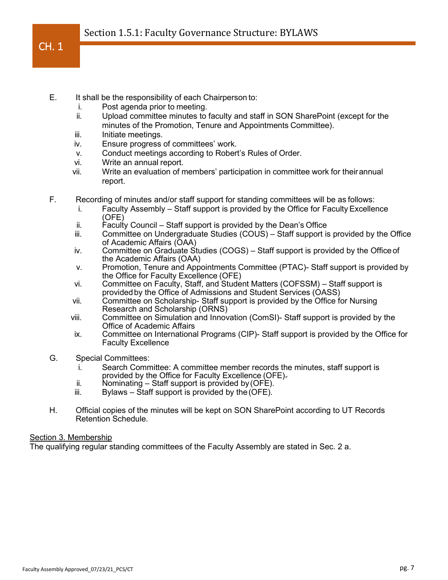- E. It shall be the responsibility of each Chairperson to:
	- i. Post agenda prior to meeting.
	- ii. Upload committee minutes to faculty and staff in SON SharePoint (except for the minutes of the Promotion, Tenure and Appointments Committee).
	- iii. Initiate meetings.
	- iv. Ensure progress of committees' work.
	- v. Conduct meetings according to Robert's Rules of Order.
	- vi. Write an annual report.
	- vii. Write an evaluation of members' participation in committee work for theirannual report.
- F. Recording of minutes and/or staff support for standing committees will be as follows:
	- i. Faculty Assembly Staff support is provided by the Office for FacultyExcellence (OFE)
	- ii. Faculty Council Staff support is provided by the Dean's Office
	- iii. Committee on Undergraduate Studies (COUS) Staff support is provided by the Office of Academic Affairs (OAA)
	- iv. Committee on Graduate Studies (COGS) Staff support is provided by the Office of the Academic Affairs (OAA)
	- v. Promotion, Tenure and Appointments Committee (PTAC)- Staff support is provided by the Office for Faculty Excellence (OFE)
	- vi. Committee on Faculty, Staff, and Student Matters (COFSSM) Staff support is providedby the Office of Admissions and Student Services (OASS)
	- vii. Committee on Scholarship- Staff support is provided by the Office for Nursing Research and Scholarship (ORNS)
	- viii. Committee on Simulation and Innovation (ComSI)- Staff support is provided by the Office of Academic Affairs
	- ix. Committee on International Programs (CIP)- Staff support is provided by the Office for Faculty Excellence
- G. Special Committees:
	- i. Search Committee: A committee member records the minutes, staff support is provided by the Office for Faculty Excellence (OFE).
	- ii. Nominating Staff support is provided by(OFE).
	- Bylaws Staff support is provided by the  $(OFE)$ .
- H. Official copies of the minutes will be kept on SON SharePoint according to UT Records Retention Schedule.

## Section 3. Membership

The qualifying regular standing committees of the Faculty Assembly are stated in Sec. 2 a.

 $CH. 1$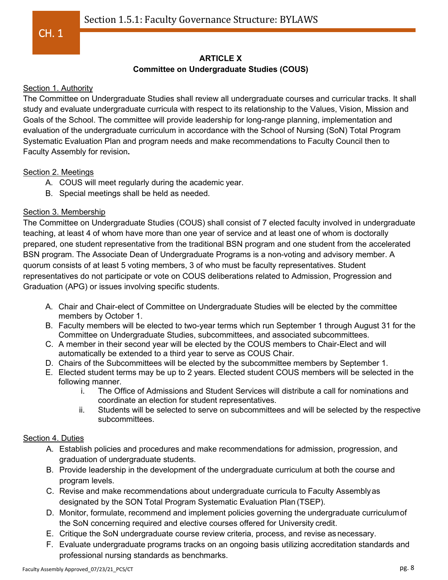# **ARTICLE X**

## **Committee on Undergraduate Studies (COUS)**

## Section 1. Authority

The Committee on Undergraduate Studies shall review all undergraduate courses and curricular tracks. It shall study and evaluate undergraduate curricula with respect to its relationship to the Values, Vision, Mission and Goals of the School. The committee will provide leadership for long-range planning, implementation and evaluation of the undergraduate curriculum in accordance with the School of Nursing (SoN) Total Program Systematic Evaluation Plan and program needs and make recommendations to Faculty Council then to Faculty Assembly for revision**.** 

## Section 2. Meetings

- A. COUS will meet regularly during the academic year.
- B. Special meetings shall be held as needed.

## Section 3. Membership

The Committee on Undergraduate Studies (COUS) shall consist of 7 elected faculty involved in undergraduate teaching, at least 4 of whom have more than one year of service and at least one of whom is doctorally prepared, one student representative from the traditional BSN program and one student from the accelerated BSN program. The Associate Dean of Undergraduate Programs is a non-voting and advisory member. A quorum consists of at least 5 voting members, 3 of who must be faculty representatives. Student representatives do not participate or vote on COUS deliberations related to Admission, Progression and Graduation (APG) or issues involving specific students.

- A. Chair and Chair-elect of Committee on Undergraduate Studies will be elected by the committee members by October 1.
- B. Faculty members will be elected to two-year terms which run September 1 through August 31 for the Committee on Undergraduate Studies, subcommittees, and associated subcommittees.
- C. A member in their second year will be elected by the COUS members to Chair-Elect and will automatically be extended to a third year to serve as COUS Chair.
- D. Chairs of the Subcommittees will be elected by the subcommittee members by September 1.
- E. Elected student terms may be up to 2 years. Elected student COUS members will be selected in the following manner.
	- i. The Office of Admissions and Student Services will distribute a call for nominations and coordinate an election for student representatives.
	- ii. Students will be selected to serve on subcommittees and will be selected by the respective subcommittees.

## Section 4. Duties

- A. Establish policies and procedures and make recommendations for admission, progression, and graduation of undergraduate students.
- B. Provide leadership in the development of the undergraduate curriculum at both the course and program levels.
- C. Revise and make recommendations about undergraduate curricula to Faculty Assembly as designated by the SON Total Program Systematic Evaluation Plan (TSEP).
- D. Monitor, formulate, recommend and implement policies governing the undergraduate curriculumof the SoN concerning required and elective courses offered for University credit.
- E. Critique the SoN undergraduate course review criteria, process, and revise as necessary.
- F. Evaluate undergraduate programs tracks on an ongoing basis utilizing accreditation standards and professional nursing standards as benchmarks.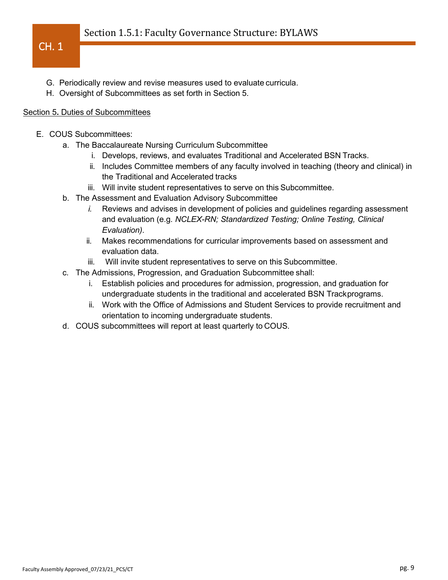- G. Periodically review and revise measures used to evaluate curricula.
- H. Oversight of Subcommittees as set forth in Section 5.

## Section 5**.** Duties of Subcommittees

- E. COUS Subcommittees:
	- a. The Baccalaureate Nursing Curriculum Subcommittee
		- i. Develops, reviews, and evaluates Traditional and Accelerated BSN Tracks.
		- ii. Includes Committee members of any faculty involved in teaching (theory and clinical) in the Traditional and Accelerated tracks
		- iii. Will invite student representatives to serve on this Subcommittee.
	- b. The Assessment and Evaluation Advisory Subcommittee
		- *i.* Reviews and advises in development of policies and guidelines regarding assessment and evaluation (e.g. *NCLEX-RN; Standardized Testing; Online Testing, Clinical Evaluation).*
		- ii. Makes recommendations for curricular improvements based on assessment and evaluation data.
		- iii. Will invite student representatives to serve on this Subcommittee.
	- c. The Admissions, Progression, and Graduation Subcommittee shall:
		- i. Establish policies and procedures for admission, progression, and graduation for undergraduate students in the traditional and accelerated BSN Trackprograms.
		- ii. Work with the Office of Admissions and Student Services to provide recruitment and orientation to incoming undergraduate students.
	- d. COUS subcommittees will report at least quarterly to COUS.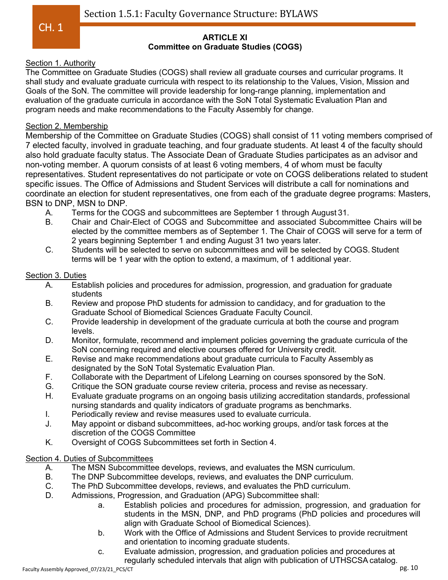#### **ARTICLE XI Committee on Graduate Studies (COGS)**

## Section 1. Authority

The Committee on Graduate Studies (COGS) shall review all graduate courses and curricular programs. It shall study and evaluate graduate curricula with respect to its relationship to the Values, Vision, Mission and Goals of the SoN. The committee will provide leadership for long-range planning, implementation and evaluation of the graduate curricula in accordance with the SoN Total Systematic Evaluation Plan and program needs and make recommendations to the Faculty Assembly for change.

## Section 2. Membership

Membership of the Committee on Graduate Studies (COGS) shall consist of 11 voting members comprised of 7 elected faculty, involved in graduate teaching, and four graduate students. At least 4 of the faculty should also hold graduate faculty status. The Associate Dean of Graduate Studies participates as an advisor and non-voting member. A quorum consists of at least 6 voting members, 4 of whom must be faculty representatives. Student representatives do not participate or vote on COGS deliberations related to student specific issues. The Office of Admissions and Student Services will distribute a call for nominations and coordinate an election for student representatives, one from each of the graduate degree programs: Masters, BSN to DNP, MSN to DNP.

- A. Terms for the COGS and subcommittees are September 1 through August 31.
- B. Chair and Chair-Elect of COGS and Subcommittee and associated Subcommittee Chairs will be elected by the committee members as of September 1. The Chair of COGS will serve for a term of 2 years beginning September 1 and ending August 31 two years later.
- C. Students will be selected to serve on subcommittees and will be selected by COGS.Student terms will be 1 year with the option to extend, a maximum, of 1 additional year.

## Section 3. Duties

- A. Establish policies and procedures for admission, progression, and graduation for graduate students
- B. Review and propose PhD students for admission to candidacy, and for graduation to the Graduate School of Biomedical Sciences Graduate Faculty Council.
- C. Provide leadership in development of the graduate curricula at both the course and program levels.
- D. Monitor, formulate, recommend and implement policies governing the graduate curricula of the SoN concerning required and elective courses offered for University credit.
- E. Revise and make recommendations about graduate curricula to Faculty Assembly as designated by the SoN Total Systematic Evaluation Plan.
- F. Collaborate with the Department of Lifelong Learning on courses sponsored by the SoN.
- G. Critique the SON graduate course review criteria, process and revise as necessary.
- H. Evaluate graduate programs on an ongoing basis utilizing accreditation standards, professional nursing standards and quality indicators of graduate programs as benchmarks.
- I. Periodically review and revise measures used to evaluate curricula.
- J. May appoint or disband subcommittees, ad-hoc working groups, and/or task forces at the discretion of the COGS Committee
- K. Oversight of COGS Subcommittees set forth in Section 4.

# Section 4. Duties of Subcommittees

- A. The MSN Subcommittee develops, reviews, and evaluates the MSN curriculum.
- B. The DNP Subcommittee develops, reviews, and evaluates the DNP curriculum.<br>C. The PhD Subcommittee develops, reviews, and evaluates the PhD curriculum.
- The PhD Subcommittee develops, reviews, and evaluates the PhD curriculum.
- D. Admissions, Progression, and Graduation (APG) Subcommittee shall:
	- a. Establish policies and procedures for admission, progression, and graduation for students in the MSN, DNP, and PhD programs (PhD policies and procedures will align with Graduate School of Biomedical Sciences).
	- b. Work with the Office of Admissions and Student Services to provide recruitment and orientation to incoming graduate students.
	- c. Evaluate admission, progression, and graduation policies and procedures at regularly scheduled intervals that align with publication of UTHSCSA catalog.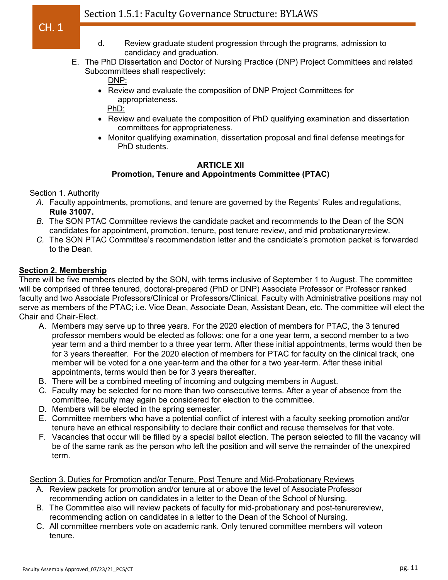- d. Review graduate student progression through the programs, admission to candidacy and graduation.
- E. The PhD Dissertation and Doctor of Nursing Practice (DNP) Project Committees and related Subcommittees shall respectively:

DNP:

• Review and evaluate the composition of DNP Project Committees for appropriateness.

PhD:

- Review and evaluate the composition of PhD qualifying examination and dissertation committees for appropriateness.
- Monitor qualifying examination, dissertation proposal and final defense meetings for PhD students.

## **ARTICLE XII**

# **Promotion, Tenure and Appointments Committee (PTAC)**

Section 1. Authority

- *A.* Faculty appointments, promotions, and tenure are governed by the Regents' Rules andregulations, **Rule 31007.**
- *B.* The SON PTAC Committee reviews the candidate packet and recommends to the Dean of the SON candidates for appointment, promotion, tenure, post tenure review, and mid probationaryreview.
- *C.* The SON PTAC Committee's recommendation letter and the candidate's promotion packet is forwarded to the Dean.

## **Section 2. Membership**

There will be five members elected by the SON, with terms inclusive of September 1 to August. The committee will be comprised of three tenured, doctoral-prepared (PhD or DNP) Associate Professor or Professor ranked faculty and two Associate Professors/Clinical or Professors/Clinical. Faculty with Administrative positions may not serve as members of the PTAC; i.e. Vice Dean, Associate Dean, Assistant Dean, etc. The committee will elect the Chair and Chair-Elect.

- A. Members may serve up to three years. For the 2020 election of members for PTAC, the 3 tenured professor members would be elected as follows: one for a one year term, a second member to a two year term and a third member to a three year term. After these initial appointments, terms would then be for 3 years thereafter. For the 2020 election of members for PTAC for faculty on the clinical track, one member will be voted for a one year-term and the other for a two year-term. After these initial appointments, terms would then be for 3 years thereafter.
- B. There will be a combined meeting of incoming and outgoing members in August.
- C. Faculty may be selected for no more than two consecutive terms. After a year of absence from the committee, faculty may again be considered for election to the committee.
- D. Members will be elected in the spring semester.
- E. Committee members who have a potential conflict of interest with a faculty seeking promotion and/or tenure have an ethical responsibility to declare their conflict and recuse themselves for that vote.
- F. Vacancies that occur will be filled by a special ballot election. The person selected to fill the vacancy will be of the same rank as the person who left the position and will serve the remainder of the unexpired term.

Section 3. Duties for Promotion and/or Tenure, Post Tenure and Mid-Probationary Reviews

- A. Review packets for promotion and/or tenure at or above the level of Associate Professor recommending action on candidates in a letter to the Dean of the School of Nursing.
- B. The Committee also will review packets of faculty for mid-probationary and post-tenurereview, recommending action on candidates in a letter to the Dean of the School of Nursing.
- C. All committee members vote on academic rank. Only tenured committee members will voteon tenure.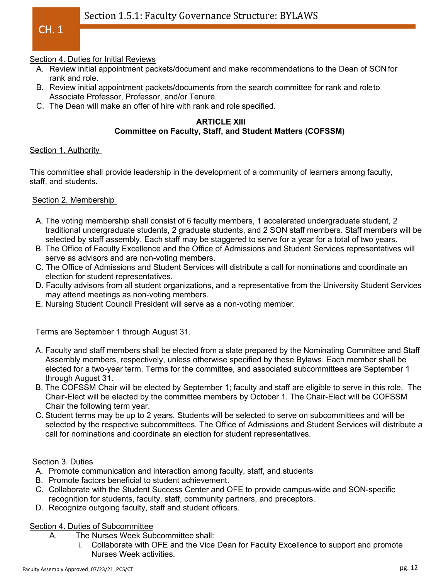#### Section 4. Duties for Initial Reviews

- A. Review initial appointment packets/document and make recommendations to the Dean of SON for rank and role.
- B. Review initial appointment packets/documents from the search committee for rank and roleto Associate Professor, Professor, and/or Tenure.
- C. The Dean will make an offer of hire with rank and role specified.

#### **ARTICLE XIII Committee on Faculty, Staff, and Student Matters (COFSSM)**

#### Section 1. Authority

This committee shall provide leadership in the development of a community of learners among faculty, staff, and students.

### Section 2. Membership

- A. The voting membership shall consist of 6 faculty members, 1 accelerated undergraduate student, 2 traditional undergraduate students, 2 graduate students, and 2 SON staff members. Staff members will be selected by staff assembly. Each staff may be staggered to serve for a year for a total of two years.
- B. The Office of Faculty Excellence and the Office of Admissions and Student Services representatives will serve as advisors and are non-voting members.
- C. The Office of Admissions and Student Services will distribute a call for nominations and coordinate an election for student representatives.
- D. Faculty advisors from all student organizations, and a representative from the University Student Services may attend meetings as non-voting members.
- E. Nursing Student Council President will serve as a non-voting member.

Terms are September 1 through August 31.

- A. Faculty and staff members shall be elected from a slate prepared by the Nominating Committee and Staff Assembly members, respectively, unless otherwise specified by these Bylaws. Each member shall be elected for a two-year term. Terms for the committee, and associated subcommittees are September 1 through August 31.
- B. The COFSSM Chair will be elected by September 1; faculty and staff are eligible to serve in this role. The Chair-Elect will be elected by the committee members by October 1. The Chair-Elect will be COFSSM Chair the following term year.
- C. Student terms may be up to 2 years. Students will be selected to serve on subcommittees and will be selected by the respective subcommittees. The Office of Admissions and Student Services will distribute a call for nominations and coordinate an election for student representatives.

#### Section 3. Duties

- A. Promote communication and interaction among faculty, staff, and students
- B. Promote factors beneficial to student achievement.
- C. Collaborate with the Student Success Center and OFE to provide campus-wide and SON-specific recognition for students, faculty, staff, community partners, and preceptors.
- D. Recognize outgoing faculty, staff and student officers.

## Section 4**.** Duties of Subcommittee

- A. The Nurses Week Subcommittee shall:
	- i. Collaborate with OFE and the Vice Dean for Faculty Excellence to support and promote Nurses Week activities.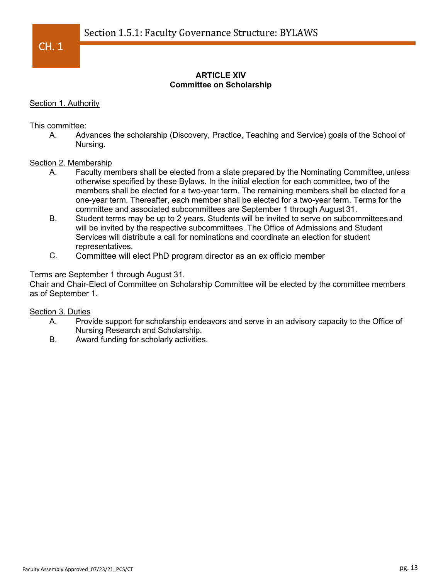## **ARTICLE XIV Committee on Scholarship**

### Section 1. Authority

This committee:

A. Advances the scholarship (Discovery, Practice, Teaching and Service) goals of the School of Nursing.

#### Section 2. Membership

- A. Faculty members shall be elected from a slate prepared by the Nominating Committee, unless otherwise specified by these Bylaws. In the initial election for each committee, two of the members shall be elected for a two-year term. The remaining members shall be elected for a one-year term. Thereafter, each member shall be elected for a two-year term. Terms for the committee and associated subcommittees are September 1 through August 31.
- B. Student terms may be up to 2 years. Students will be invited to serve on subcommittees and will be invited by the respective subcommittees. The Office of Admissions and Student Services will distribute a call for nominations and coordinate an election for student representatives.
- C. Committee will elect PhD program director as an ex officio member

#### Terms are September 1 through August 31.

Chair and Chair-Elect of Committee on Scholarship Committee will be elected by the committee members as of September 1.

#### Section 3. Duties

- A. Provide support for scholarship endeavors and serve in an advisory capacity to the Office of Nursing Research and Scholarship.
- B. Award funding for scholarly activities.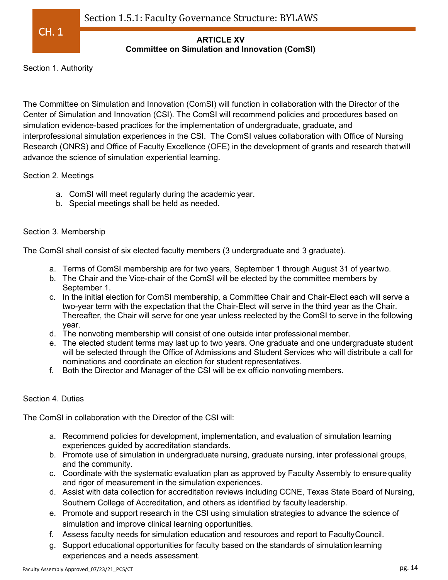

## **ARTICLE XV Committee on Simulation and Innovation (ComSI)**

Section 1. Authority

The Committee on Simulation and Innovation (ComSI) will function in collaboration with the Director of the Center of Simulation and Innovation (CSI). The ComSI will recommend policies and procedures based on simulation evidence-based practices for the implementation of undergraduate, graduate, and interprofessional simulation experiences in the CSI. The ComSI values collaboration with Office of Nursing Research (ONRS) and Office of Faculty Excellence (OFE) in the development of grants and research thatwill advance the science of simulation experiential learning.

## Section 2. Meetings

- a. ComSI will meet regularly during the academic year.
- b. Special meetings shall be held as needed.

## Section 3. Membership

The ComSI shall consist of six elected faculty members (3 undergraduate and 3 graduate).

- a. Terms of ComSI membership are for two years, September 1 through August 31 of yeartwo.
- b. The Chair and the Vice-chair of the ComSI will be elected by the committee members by September 1.
- c. In the initial election for ComSI membership, a Committee Chair and Chair-Elect each will serve a two-year term with the expectation that the Chair-Elect will serve in the third year as the Chair. Thereafter, the Chair will serve for one year unless reelected by the ComSI to serve in the following year.
- d. The nonvoting membership will consist of one outside inter professional member.
- e. The elected student terms may last up to two years. One graduate and one undergraduate student will be selected through the Office of Admissions and Student Services who will distribute a call for nominations and coordinate an election for student representatives.
- f. Both the Director and Manager of the CSI will be ex officio nonvoting members.

# Section 4. Duties

The ComSI in collaboration with the Director of the CSI will:

- a. Recommend policies for development, implementation, and evaluation of simulation learning experiences guided by accreditation standards.
- b. Promote use of simulation in undergraduate nursing, graduate nursing, inter professional groups, and the community.
- c. Coordinate with the systematic evaluation plan as approved by Faculty Assembly to ensure quality and rigor of measurement in the simulation experiences.
- d. Assist with data collection for accreditation reviews including CCNE, Texas State Board of Nursing, Southern College of Accreditation, and others as identified by faculty leadership.
- e. Promote and support research in the CSI using simulation strategies to advance the science of simulation and improve clinical learning opportunities.
- f. Assess faculty needs for simulation education and resources and report to FacultyCouncil.
- g. Support educational opportunities for faculty based on the standards of simulationlearning experiences and a needs assessment.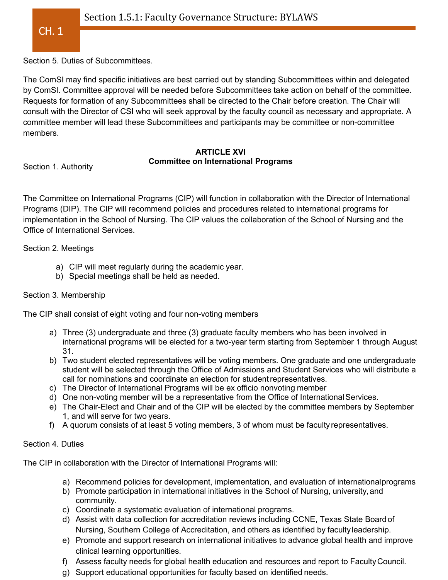Section 5. Duties of Subcommittees.

The ComSI may find specific initiatives are best carried out by standing Subcommittees within and delegated by ComSI. Committee approval will be needed before Subcommittees take action on behalf of the committee. Requests for formation of any Subcommittees shall be directed to the Chair before creation. The Chair will consult with the Director of CSI who will seek approval by the faculty council as necessary and appropriate. A committee member will lead these Subcommittees and participants may be committee or non-committee members.

### **ARTICLE XVI Committee on International Programs**

Section 1. Authority

The Committee on International Programs (CIP) will function in collaboration with the Director of International Programs (DIP). The CIP will recommend policies and procedures related to international programs for implementation in the School of Nursing. The CIP values the collaboration of the School of Nursing and the Office of International Services.

Section 2. Meetings

- a) CIP will meet regularly during the academic year.
- b) Special meetings shall be held as needed.

## Section 3. Membership

The CIP shall consist of eight voting and four non-voting members

- a) Three (3) undergraduate and three (3) graduate faculty members who has been involved in international programs will be elected for a two-year term starting from September 1 through August 31.
- b) Two student elected representatives will be voting members. One graduate and one undergraduate student will be selected through the Office of Admissions and Student Services who will distribute a call for nominations and coordinate an election for studentrepresentatives.
- c) The Director of International Programs will be ex officio nonvoting member
- d) One non-voting member will be a representative from the Office of International Services.
- e) The Chair-Elect and Chair and of the CIP will be elected by the committee members by September 1, and will serve for two years.
- f) A quorum consists of at least 5 voting members, 3 of whom must be faculty representatives.

### Section 4. Duties

The CIP in collaboration with the Director of International Programs will:

- a) Recommend policies for development, implementation, and evaluation of internationalprograms
- b) Promote participation in international initiatives in the School of Nursing, university, and community.
- c) Coordinate a systematic evaluation of international programs.
- d) Assist with data collection for accreditation reviews including CCNE, Texas State Board of Nursing, Southern College of Accreditation, and others as identified by facultyleadership.
- e) Promote and support research on international initiatives to advance global health and improve clinical learning opportunities.
- f) Assess faculty needs for global health education and resources and report to FacultyCouncil.
- g) Support educational opportunities for faculty based on identified needs.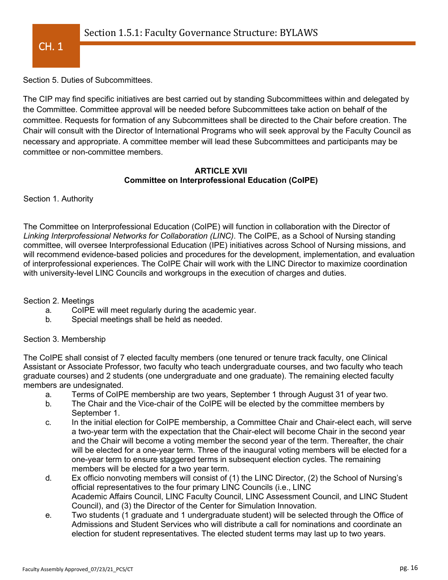

Section 5. Duties of Subcommittees.

The CIP may find specific initiatives are best carried out by standing Subcommittees within and delegated by the Committee. Committee approval will be needed before Subcommittees take action on behalf of the committee. Requests for formation of any Subcommittees shall be directed to the Chair before creation. The Chair will consult with the Director of International Programs who will seek approval by the Faculty Council as necessary and appropriate. A committee member will lead these Subcommittees and participants may be committee or non-committee members.

### **ARTICLE XVII Committee on Interprofessional Education (CoIPE)**

Section 1. Authority

The Committee on Interprofessional Education (CoIPE) will function in collaboration with the Director of *Linking Interprofessional Networks for Collaboration (LINC)*. The CoIPE, as a School of Nursing standing committee, will oversee Interprofessional Education (IPE) initiatives across School of Nursing missions, and will recommend evidence-based policies and procedures for the development, implementation, and evaluation of interprofessional experiences. The CoIPE Chair will work with the LINC Director to maximize coordination with university-level LINC Councils and workgroups in the execution of charges and duties.

Section 2. Meetings

- a. CoIPE will meet regularly during the academic year.
- b. Special meetings shall be held as needed.

### Section 3. Membership

The CoIPE shall consist of 7 elected faculty members (one tenured or tenure track faculty, one Clinical Assistant or Associate Professor, two faculty who teach undergraduate courses, and two faculty who teach graduate courses) and 2 students (one undergraduate and one graduate). The remaining elected faculty members are undesignated.

- a. Terms of CoIPE membership are two years, September 1 through August 31 of year two.
- b. The Chair and the Vice-chair of the CoIPE will be elected by the committee members by September 1.
- c. In the initial election for CoIPE membership, a Committee Chair and Chair-elect each, will serve a two-year term with the expectation that the Chair-elect will become Chair in the second year and the Chair will become a voting member the second year of the term. Thereafter, the chair will be elected for a one-year term. Three of the inaugural voting members will be elected for a one-year term to ensure staggered terms in subsequent election cycles. The remaining members will be elected for a two year term.
- d. Ex officio nonvoting members will consist of (1) the LINC Director, (2) the School of Nursing's official representatives to the four primary LINC Councils (i.e., LINC Academic Affairs Council, LINC Faculty Council, LINC Assessment Council, and LINC Student Council), and (3) the Director of the Center for Simulation Innovation.
- e. Two students (1 graduate and 1 undergraduate student) will be selected through the Office of Admissions and Student Services who will distribute a call for nominations and coordinate an election for student representatives. The elected student terms may last up to two years.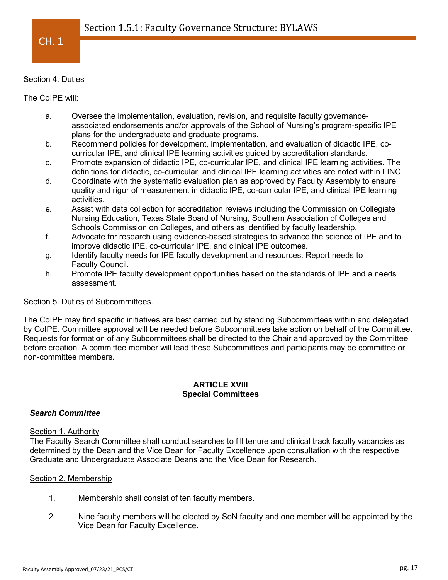

#### Section 4. Duties

The CoIPE will:

- a. Oversee the implementation, evaluation, revision, and requisite faculty governanceassociated endorsements and/or approvals of the School of Nursing's program-specific IPE plans for the undergraduate and graduate programs.
- b. Recommend policies for development, implementation, and evaluation of didactic IPE, cocurricular IPE, and clinical IPE learning activities guided by accreditation standards.
- c. Promote expansion of didactic IPE, co-curricular IPE, and clinical IPE learning activities. The definitions for didactic, co-curricular, and clinical IPE learning activities are noted within LINC.
- d. Coordinate with the systematic evaluation plan as approved by Faculty Assembly to ensure quality and rigor of measurement in didactic IPE, co-curricular IPE, and clinical IPE learning activities.
- e. Assist with data collection for accreditation reviews including the Commission on Collegiate Nursing Education, Texas State Board of Nursing, Southern Association of Colleges and Schools Commission on Colleges, and others as identified by faculty leadership.
- f. Advocate for research using evidence-based strategies to advance the science of IPE and to improve didactic IPE, co-curricular IPE, and clinical IPE outcomes.
- g. Identify faculty needs for IPE faculty development and resources. Report needs to Faculty Council.
- h. Promote IPE faculty development opportunities based on the standards of IPE and a needs assessment.

Section 5. Duties of Subcommittees.

The CoIPE may find specific initiatives are best carried out by standing Subcommittees within and delegated by CoIPE. Committee approval will be needed before Subcommittees take action on behalf of the Committee. Requests for formation of any Subcommittees shall be directed to the Chair and approved by the Committee before creation. A committee member will lead these Subcommittees and participants may be committee or non-committee members.

### **ARTICLE XVIII Special Committees**

### *Search Committee*

### Section 1. Authority

The Faculty Search Committee shall conduct searches to fill tenure and clinical track faculty vacancies as determined by the Dean and the Vice Dean for Faculty Excellence upon consultation with the respective Graduate and Undergraduate Associate Deans and the Vice Dean for Research.

### Section 2. Membership

- 1. Membership shall consist of ten faculty members.
- 2. Nine faculty members will be elected by SoN faculty and one member will be appointed by the Vice Dean for Faculty Excellence.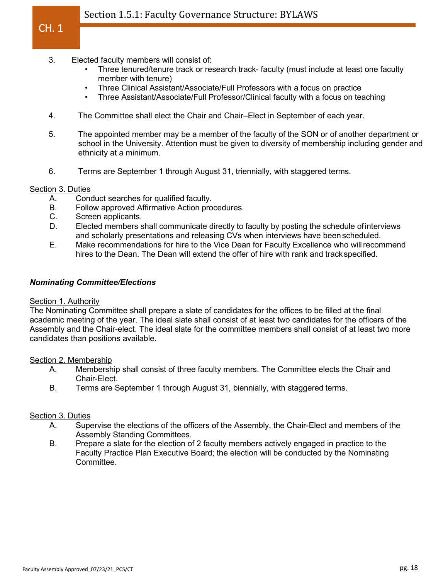# Section 1.5.1: Faculty Governance Structure: BYLAWS

- 3. Elected faculty members will consist of:
	- Three tenured/tenure track or research track- faculty (must include at least one faculty member with tenure)
	- Three Clinical Assistant/Associate/Full Professors with a focus on practice
	- Three Assistant/Associate/Full Professor/Clinical faculty with a focus on teaching
- 4. The Committee shall elect the Chair and Chair–Elect in September of each year.
- 5. The appointed member may be a member of the faculty of the SON or of another department or school in the University. Attention must be given to diversity of membership including gender and ethnicity at a minimum.
- 6. Terms are September 1 through August 31, triennially, with staggered terms.

#### Section 3. Duties

CH. 1

- A. Conduct searches for qualified faculty.
- B. Follow approved Affirmative Action procedures.
- C. Screen applicants.
- D. Elected members shall communicate directly to faculty by posting the schedule ofinterviews and scholarly presentations and releasing CVs when interviews have beenscheduled.
- E. Make recommendations for hire to the Vice Dean for Faculty Excellence who willrecommend hires to the Dean. The Dean will extend the offer of hire with rank and trackspecified.

#### *Nominating Committee/Elections*

#### Section 1. Authority

The Nominating Committee shall prepare a slate of candidates for the offices to be filled at the final academic meeting of the year. The ideal slate shall consist of at least two candidates for the officers of the Assembly and the Chair-elect. The ideal slate for the committee members shall consist of at least two more candidates than positions available.

#### Section 2. Membership

- A. Membership shall consist of three faculty members. The Committee elects the Chair and Chair-Elect.
- B. Terms are September 1 through August 31, biennially, with staggered terms.

#### Section 3. Duties

- A. Supervise the elections of the officers of the Assembly, the Chair-Elect and members of the Assembly Standing Committees.
- B. Prepare a slate for the election of 2 faculty members actively engaged in practice to the Faculty Practice Plan Executive Board; the election will be conducted by the Nominating Committee.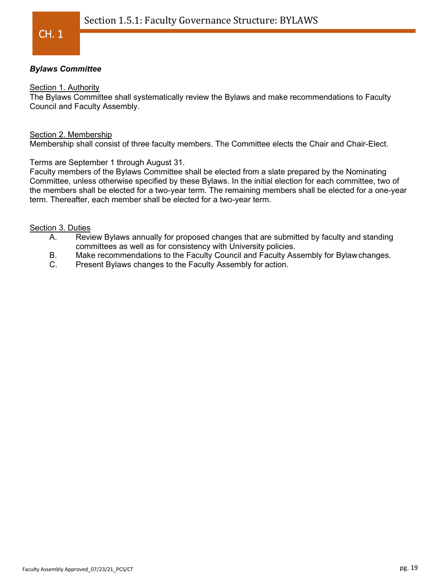## *Bylaws Committee*

#### Section 1. Authority

The Bylaws Committee shall systematically review the Bylaws and make recommendations to Faculty Council and Faculty Assembly.

#### Section 2. Membership

Membership shall consist of three faculty members. The Committee elects the Chair and Chair-Elect.

Terms are September 1 through August 31.

Faculty members of the Bylaws Committee shall be elected from a slate prepared by the Nominating Committee, unless otherwise specified by these Bylaws. In the initial election for each committee, two of the members shall be elected for a two-year term. The remaining members shall be elected for a one-year term. Thereafter, each member shall be elected for a two-year term.

#### Section 3. Duties

- A. Review Bylaws annually for proposed changes that are submitted by faculty and standing committees as well as for consistency with University policies.
- B. Make recommendations to the Faculty Council and Faculty Assembly for Bylawchanges.
- C. Present Bylaws changes to the Faculty Assembly for action.